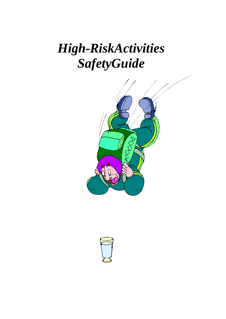## *High-RiskActivities SafetyGuide*



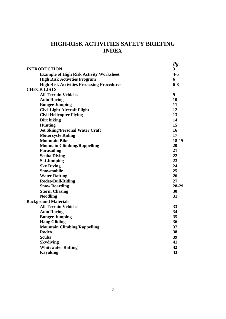#### **HIGH-RISK ACTIVITIES SAFETY BRIEFING INDEX**

|                                                   | Pg.     |
|---------------------------------------------------|---------|
| <b>INTRODUCTION</b>                               | 3       |
| <b>Example of High Risk Activity Worksheet</b>    | $4 - 5$ |
| <b>High Risk Activities Program</b>               | 6       |
| <b>High Risk Activities Processing Procedures</b> | $6 - 8$ |
| <b>CHECK LISTS</b>                                |         |
| <b>All Terrain Vehicles</b>                       | 9       |
| <b>Auto Racing</b>                                | 10      |
| <b>Bungee Jumping</b>                             | 11      |
| <b>Civil Light Aircraft Flight</b>                | 12      |
| <b>Civil Helicopter Flying</b>                    | 13      |
| Dirt biking                                       | 14      |
| <b>Hunting</b>                                    | 15      |
| <b>Jet Skiing/Personal Water Craft</b>            | 16      |
| <b>Motorcycle Riding</b>                          | 17      |
| <b>Mountain Bike</b>                              | 18-19   |
| <b>Mountain Climbing/Rappelling</b>               | 20      |
| Parasailing                                       | 21      |
| <b>Scuba Diving</b>                               | 22      |
| <b>Ski Jumping</b>                                | 23      |
| <b>Sky Diving</b>                                 | 24      |
| Snowmobile                                        | 25      |
| <b>Water Rafting</b>                              | 26      |
| Rodeo/Bull-Riding                                 | 27      |
| <b>Snow Boarding</b>                              | 28-29   |
| <b>Storm Chasing</b>                              | 30      |
| <b>Noodling</b>                                   | 31      |
| <b>Background Materials</b>                       |         |
| <b>All Terrain Vehicles</b>                       | 33      |
| <b>Auto Racing</b>                                | 34      |
| <b>Bungee Jumping</b>                             | 35      |
| <b>Hang Gliding</b>                               | 36      |
| <b>Mountain Climbing/Rappelling</b>               | 37      |
| <b>Rodeo</b>                                      | 38      |
| <b>Scuba</b>                                      | 39      |
| <b>Skydiving</b>                                  | 41      |
| <b>Whitewater Rafting</b>                         | 42      |
| <b>Kayaking</b>                                   | 43      |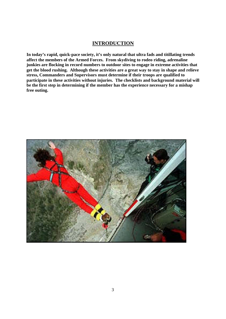#### **INTRODUCTION**

**In today's rapid, quick-pace society, it's only natural that ultra fads and titillating trends affect the members of the Armed Forces. From skydiving to rodeo riding, adrenaline junkies are flocking in record numbers to outdoor sites to engage in extreme activities that get the blood rushing. Although these activities are a great way to stay in shape and relieve stress, Commanders and Supervisors must determine if their troops are qualified to participate in these activities without injuries. The checklists and background material will be the first step in determining if the member has the experience necessary for a mishap free outing.**

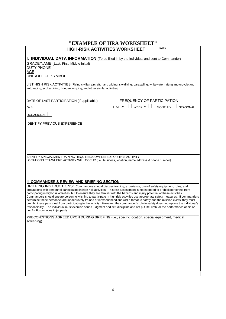| "EXAMPLE OF HRA WORKSHEET"                                                                                                                                                                                                                                                                                                                                                                                                                                                                                                                                                                                                                                                                                                                                                                                                                                                                                                                                                           |  |
|--------------------------------------------------------------------------------------------------------------------------------------------------------------------------------------------------------------------------------------------------------------------------------------------------------------------------------------------------------------------------------------------------------------------------------------------------------------------------------------------------------------------------------------------------------------------------------------------------------------------------------------------------------------------------------------------------------------------------------------------------------------------------------------------------------------------------------------------------------------------------------------------------------------------------------------------------------------------------------------|--|
| <b>DATE</b><br><b>HIGH-RISK ACTIVITIES WORKSHEET</b>                                                                                                                                                                                                                                                                                                                                                                                                                                                                                                                                                                                                                                                                                                                                                                                                                                                                                                                                 |  |
| <b>I. INDIVIDUAL DATA INFORMATION</b> (To be filled in by the individual and sent to Commander)                                                                                                                                                                                                                                                                                                                                                                                                                                                                                                                                                                                                                                                                                                                                                                                                                                                                                      |  |
| <b>GRADE/NAME (Last. First. Middle Initial)</b>                                                                                                                                                                                                                                                                                                                                                                                                                                                                                                                                                                                                                                                                                                                                                                                                                                                                                                                                      |  |
| <b>DUTY PHONE</b>                                                                                                                                                                                                                                                                                                                                                                                                                                                                                                                                                                                                                                                                                                                                                                                                                                                                                                                                                                    |  |
| AGE<br>UNIT/OFFICE SYMBOL                                                                                                                                                                                                                                                                                                                                                                                                                                                                                                                                                                                                                                                                                                                                                                                                                                                                                                                                                            |  |
|                                                                                                                                                                                                                                                                                                                                                                                                                                                                                                                                                                                                                                                                                                                                                                                                                                                                                                                                                                                      |  |
| LIST HIGH RISK ACTIVITIES (Flying civilian aircraft, hang gliding, sky diving, parasailing, whitewater rafting, motorcycle and<br>auto racing, scuba diving, bungee jumping, and other similar activities)                                                                                                                                                                                                                                                                                                                                                                                                                                                                                                                                                                                                                                                                                                                                                                           |  |
| FREQUENCY OF PARTICIPATION<br>DATE OF LAST PARTICIPATION (If applicable)                                                                                                                                                                                                                                                                                                                                                                                                                                                                                                                                                                                                                                                                                                                                                                                                                                                                                                             |  |
| <b>DAILY</b><br><b>MONTHLY</b><br>SEASONAL<br>N/A<br><b>WEEKLY</b>                                                                                                                                                                                                                                                                                                                                                                                                                                                                                                                                                                                                                                                                                                                                                                                                                                                                                                                   |  |
| <b>OCCASIONAL</b>                                                                                                                                                                                                                                                                                                                                                                                                                                                                                                                                                                                                                                                                                                                                                                                                                                                                                                                                                                    |  |
| <b>IDENTIFY PREVIOUS EXPERIENCE</b>                                                                                                                                                                                                                                                                                                                                                                                                                                                                                                                                                                                                                                                                                                                                                                                                                                                                                                                                                  |  |
|                                                                                                                                                                                                                                                                                                                                                                                                                                                                                                                                                                                                                                                                                                                                                                                                                                                                                                                                                                                      |  |
|                                                                                                                                                                                                                                                                                                                                                                                                                                                                                                                                                                                                                                                                                                                                                                                                                                                                                                                                                                                      |  |
|                                                                                                                                                                                                                                                                                                                                                                                                                                                                                                                                                                                                                                                                                                                                                                                                                                                                                                                                                                                      |  |
|                                                                                                                                                                                                                                                                                                                                                                                                                                                                                                                                                                                                                                                                                                                                                                                                                                                                                                                                                                                      |  |
| IDENTIFY SPECIALIZED TRAINING REQUIRED/COMPLETED FOR THIS ACTIVITY                                                                                                                                                                                                                                                                                                                                                                                                                                                                                                                                                                                                                                                                                                                                                                                                                                                                                                                   |  |
| LOCATION/AREA WHERE ACTIVITY WILL OCCUR (i.e., business, location, name address & phone number)                                                                                                                                                                                                                                                                                                                                                                                                                                                                                                                                                                                                                                                                                                                                                                                                                                                                                      |  |
|                                                                                                                                                                                                                                                                                                                                                                                                                                                                                                                                                                                                                                                                                                                                                                                                                                                                                                                                                                                      |  |
|                                                                                                                                                                                                                                                                                                                                                                                                                                                                                                                                                                                                                                                                                                                                                                                                                                                                                                                                                                                      |  |
| <b>II COMMANDER'S REVIEW AND BRIEFING SECTION</b>                                                                                                                                                                                                                                                                                                                                                                                                                                                                                                                                                                                                                                                                                                                                                                                                                                                                                                                                    |  |
| BRIEFING INSTRUCTIONS: Commanders should discuss training, experience, use of safety equipment, rules, and<br>precautions with personnel participating in high-risk activities. This risk assessment is not intended to prohibit personnel from<br>participating in high-risk activities, but to ensure they are familiar with the hazards and injury potential of these activities.<br>Commanders should ensure personnel wishing to participate in high-risk activities use appropriate safety measures. If commanders<br>determine these personnel are inadequately trained or inexperienced and (or) a threat to safety and the mission exists, they must<br>prohibit these personnel from participating in the activity. However, the commander's role in safety does not replace the individual's<br>responsibility. The individual must exercise sound judgment and self-discipline and not put life, limb, or the performance of his or<br>her Air Force duties in jeopardy. |  |
| PRECONDITIONS AGREED UPON DURING BRIEFING (i.e., specific location, special equipment, medical<br>screening)                                                                                                                                                                                                                                                                                                                                                                                                                                                                                                                                                                                                                                                                                                                                                                                                                                                                         |  |
|                                                                                                                                                                                                                                                                                                                                                                                                                                                                                                                                                                                                                                                                                                                                                                                                                                                                                                                                                                                      |  |
|                                                                                                                                                                                                                                                                                                                                                                                                                                                                                                                                                                                                                                                                                                                                                                                                                                                                                                                                                                                      |  |
|                                                                                                                                                                                                                                                                                                                                                                                                                                                                                                                                                                                                                                                                                                                                                                                                                                                                                                                                                                                      |  |
|                                                                                                                                                                                                                                                                                                                                                                                                                                                                                                                                                                                                                                                                                                                                                                                                                                                                                                                                                                                      |  |
|                                                                                                                                                                                                                                                                                                                                                                                                                                                                                                                                                                                                                                                                                                                                                                                                                                                                                                                                                                                      |  |
|                                                                                                                                                                                                                                                                                                                                                                                                                                                                                                                                                                                                                                                                                                                                                                                                                                                                                                                                                                                      |  |
|                                                                                                                                                                                                                                                                                                                                                                                                                                                                                                                                                                                                                                                                                                                                                                                                                                                                                                                                                                                      |  |
|                                                                                                                                                                                                                                                                                                                                                                                                                                                                                                                                                                                                                                                                                                                                                                                                                                                                                                                                                                                      |  |

#### 4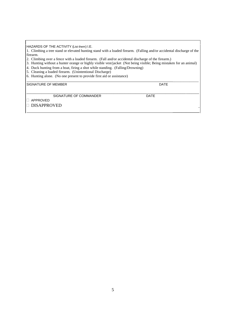HAZARDS OF THE ACTIVITY (List them) I.E.

1. Climbing a tree stand or elevated hunting stand with a loaded firearm. (Falling and/or accidental discharge of the firearm.

- 2. Climbing over a fence with a loaded firearm. (Fall and/or accidental discharge of the firearm.)
- 3. Hunting without a hunter orange or highly visible vest/jacket (Not being visible; Being mistaken for an animal)
- 4. Duck hunting from a boat, firing a shot while standing. (Falling/Drowning)
- 5. Cleaning a loaded firearm. (Unintentional Discharge)
- 6. Hunting alone. (No one present to provide first aid or assistance)

SIGNATURE OF MEMBER DATE

\_\_\_\_\_\_\_\_\_\_\_\_\_\_

 $\overline{\phantom{a}}$  , where  $\overline{\phantom{a}}$ 

SIGNATURE OF COMMANDER DATE

 $\_$  ,  $\_$  ,  $\_$  ,  $\_$  ,  $\_$  ,  $\_$  ,  $\_$  ,  $\_$  ,  $\_$  ,  $\_$  ,  $\_$  ,  $\_$  ,  $\_$  ,  $\_$  ,  $\_$  ,  $\_$  ,  $\_$  ,  $\_$  ,  $\_$  ,  $\_$  ,  $\_$  ,  $\_$  ,  $\_$  ,  $\_$  ,  $\_$  ,  $\_$  ,  $\_$  ,  $\_$  ,  $\_$  ,  $\_$  ,  $\_$  ,  $\_$  ,  $\_$  ,  $\_$  ,  $\_$  ,  $\_$  ,  $\_$  ,

APPROVED

□ DISAPPROVED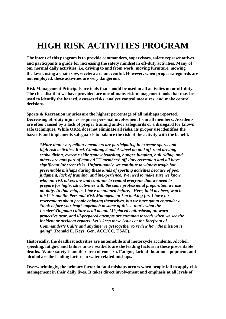### **HIGH RISK ACTIVITIES PROGRAM**

**The intent of this program is to provide commanders, supervisors, safety representatives and participants a guide for increasing the safety mindset in off-duty activities. Many of our normal daily activities, i.e. driving to and from work, moving furniture, mowing the lawn, using a chain saw, etcetera are uneventful. However, when proper safeguards are not employed, these activities are very dangerous.**

**Risk Management Principals are tools that should be used in all activities on or off-duty. The checklist that we have provided are one of many risk management tools that may be used to identify the hazard, assesses risks, analyze control measures, and make control decisions.**

**Sports & Recreation injuries are the highest percentage of all mishaps reported. Decreasing off-duty injuries requires personal involvement from all members. Accidents are often caused by a lack of proper training and/or safeguards or a disregard for known safe techniques. While ORM does not eliminate all risks, its proper use identifies the hazards and implements safeguards to balance the risk of the activity with the benefit.**

*"More than ever, military members are participating in extreme sports and high-risk activities. Rock Climbing, 2 and 4-wheel on and off-road driving, scuba diving, extreme skiing/snow boarding, bungee jumping, bull riding, and others are now part of many ACC members' off-duty recreation and all have significant inherent risks. Unfortunately, we continue to witness tragic but preventable mishaps during these kinds of sporting activities because of poor judgment, lack of training, and inexperience. We need to make sure we know who our risk takers are and continue to remind everyone that we need to prepare for high-risk activities with the same professional preparation we use on-duty. In that vein, as I have mentioned before, "Here, hold my beer, watch this!" is not the Personal Risk Management I'm looking for. I have no reservations about people enjoying themselves, but we have got to engender a "look-before-you-leap" approach to some of this… that's what the Leader/Wingman culture is all about. Misplaced enthusiasm, un-worn protective gear, and ill-prepared attempts are common threads when we see the incident or accident reports. Let's keep these issues at the forefront of Commander's Call's and anytime we get together to review how the mission is going***" (Ronald E. Keys, Gen, ACC/CC, USAF).**

**Historically, the deadliest activities are automobile and motorcycle accidents. Alcohol, speeding, fatigue, and failure to use seatbelts are the leading factors in these preventable deaths. Water safety is another area of concern. Fatigue, lack of flotation equipment, and alcohol are the leading factors in water related mishaps.**

**Overwhelmingly, the primary factor in fatal mishaps occurs when people fail to apply risk management in their daily lives. It takes direct involvement and emphasis at all levels of**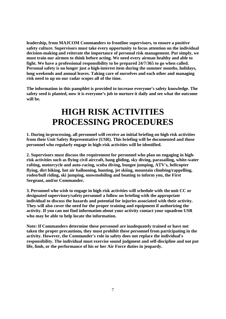**leadership, from MAJCOM Commanders to frontline supervisors, to ensure a positive safety culture. Supervisors must take every opportunity to focus attention on the individual decision-making and reiterate the importance of personal risk management. Put simply, we must train our airmen to think before acting. We need every airman healthy and able to fight. We have a professional responsibility to be prepared 24/7/365 to go when called. Personal safety is no longer just a high-interest item during the summer months, holidays, long weekends and annual leaves. Taking care of ourselves and each other and managing risk need to up on our radar scopes all of the time.**

**The information in this pamphlet is provided to increase everyone's safety knowledge. The safety seed is planted, now it is everyone's job to nurture it daily and see what the outcome will be.**

### **HIGH RISK ACTIVITIES PROCESSING PROCEDURES**

**1. During in-processing, all personnel will receive an initial briefing on high risk activities from their Unit Safety Representative (USR). This briefing will be documented and those personnel who regularly engage in high-risk activities will be identified.**

**2. Supervisors must discuss the requirement for personnel who plan on engaging in highrisk activities such as flying civil aircraft, hang gliding, sky diving, parasailing, white-water rafting, motorcycle and auto-racing, scuba diving, bungee jumping, ATV's, helicopter flying, dirt biking, hot air ballooning, hunting, jet skiing, mountain climbing/rappelling, rodeo/bull riding, ski jumping, snowmobiling and boating to inform you, the First Sergeant, and/or Commander.**

**3. Personnel who wish to engage in high risk activities will schedule with the unit CC or designated supervisory/safety personnel a follow on briefing with the appropriate individual to discuss the hazards and potential for injuries associated with their activity. They will also cover the need for the proper training and equipment if authorizing the activity. If you can not find information about your activity contact your squadron USR who may be able to help locate the information.**

**Note: If Commanders determine these personnel are inadequately trained or have not taken the proper precautions, they must prohibit these personnel from participating in the activity. However, the Commander's role in safety does not replace the individual's responsibility. The individual must exercise sound judgment and self-discipline and not put life, limb, or the performance of his or her Air Force duties in jeopardy.**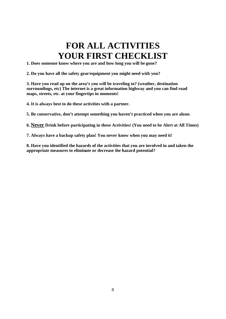### **FOR ALL ACTIVITIES YOUR FIRST CHECKLIST**

**1. Does someone know where you are and how long you will be gone?**

**2. Do you have all the safety gear/equipment you might need with you?**

**3. Have you read up on the area's you will be traveling to? (weather, destination surroundings, etc) The internet is a great information highway and you can find road maps, streets, etc. at your fingertips in moments!**

**4. It is always best to do these activities with a partner.**

**5. Be conservative, don't attempt something you haven't practiced when you are alone.**

**6. Never Drink before participating in these Activities! (You need to be Alert at All Times)**

**7. Always have a backup safety plan! You never know when you may need it!**

**8. Have you identified the hazards of the activities that you are involved in and taken the appropriate measures to eliminate or decrease the hazard potential?**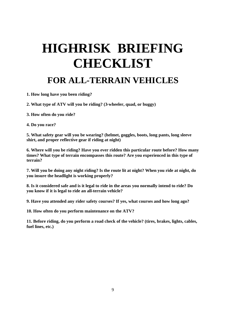#### **FOR ALL-TERRAIN VEHICLES**

- **1. How long have you been riding?**
- **2. What type of ATV will you be riding? (3-wheeler, quad, or buggy)**
- **3. How often do you ride?**
- **4. Do you race?**

**5. What safety gear will you be wearing? (helmet, goggles, boots, long pants, long sleeve shirt, and proper reflective gear if riding at night)**

**6. Where will you be riding? Have you ever ridden this particular route before? How many times? What type of terrain encompasses this route? Are you experienced in this type of terrain?**

**7. Will you be doing any night riding? Is the route lit at night? When you ride at night, do you insure the headlight is working properly?**

**8. Is it considered safe and is it legal to ride in the areas you normally intend to ride? Do you know if it is legal to ride an all-terrain vehicle?**

**9. Have you attended any rider safety courses? If yes, what courses and how long ago?**

**10. How often do you perform maintenance on the ATV?**

**11. Before riding, do you perform a road check of the vehicle? (tires, brakes, lights, cables, fuel lines, etc.)**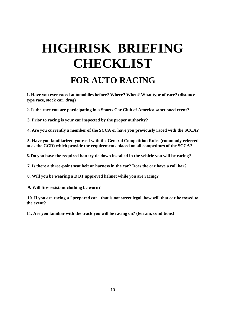## **HIGHRISK BRIEFING CHECKLIST FOR AUTO RACING**

**1. Have you ever raced automobiles before? Where? When? What type of race? (distance type race, stock car, drag)**

**2. Is the race you are participating in a Sports Car Club of America sanctioned event?**

**3. Prior to racing is your car inspected by the proper authority?**

**4. Are you currently a member of the SCCA or have you previously raced with the SCCA?**

**5. Have you familiarized yourself with the General Competition Rules (commonly referred to as the GCR) which provide the requirements placed on all competitors of the SCCA?**

**6. Do you have the required battery tie down installed in the vehicle you will be racing?**

**7. Is there a three-point seat belt or harness in the car? Does the car have a roll bar?**

**8. Will you be wearing a DOT approved helmet while you are racing?**

**9. Will fire-resistant clothing be worn?**

**10. If you are racing a "prepared car" that is not street legal, how will that car be towed to the event?**

**11. Are you familiar with the track you will be racing on? (terrain, conditions)**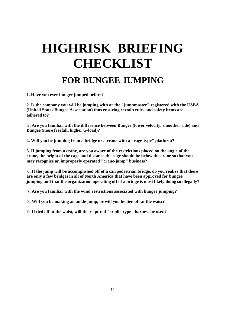### **HIGHRISK BRIEFING CHECKLIST FOR BUNGEE JUMPING**

**1. Have you ever bungee jumped before?**

**2. Is the company you will be jumping with or the "jumpmaster" registered with the USBA (United States Bungee Association) thus ensuring certain rules and safety items are adhered to?**

**3. Are you familiar with the difference between Bungee (lower velocity, smoother ride) and Bungee (more freefall, higher G-load)?**

**4. Will you be jumping from a bridge or a crane with a "cage-type" platform?**

**5. If jumping from a crane, are you aware of the restrictions placed on the angle of the crane, the height of the cage and distance the cage should be below the crane so that you may recognize an improperly operated "crane-jump" business?**

**6. If the jump will be accomplished off of a car/pedestrian bridge, do you realize that there are only a few bridges in all of North America that have been approved for bungee jumping and that the organization operating off of a bridge is most likely doing so illegally?**

**7. Are you familiar with the wind restrictions associated with bungee jumping?**

**8. Will you be making an ankle jump, or will you be tied off at the waist?**

**9. If tied off at the waist, will the required "cradle-type" harness be used?**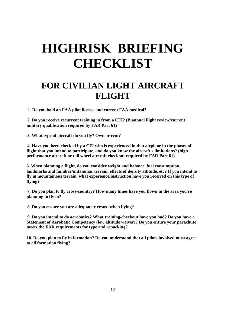#### **FOR CIVILIAN LIGHT AIRCRAFT FLIGHT**

**1. Do you hold an FAA pilot license and current FAA medical?**

**2. Do you receive recurrent training in from a CFI? (Biannual flight review/current military qualification required by FAR Part 61)**

**3. What type of aircraft do you fly? Own or rent?**

**4. Have you been checked by a CFI who is experienced in that airplane in the phases of flight that you intend to participate, and do you know the aircraft's limitations? (high performance aircraft or tail wheel aircraft checkout required by FAR Part 61)**

**6. When planning a flight, do you consider weight and balance, fuel consumption, landmarks and familiar/unfamiliar terrain, effects of density altitude, etc? If you intend to fly in mountainous terrain, what experience/instruction have you received on this type of flying?**

**7. Do you plan to fly cross-country? How many times have you flown in the area you're planning to fly in?**

**8. Do you ensure you are adequately rested when flying?**

**9. Do you intend to do aerobatics? What training/checkout have you had? Do you have a Statement of Aerobatic Competency (low altitude waiver)? Do you ensure your parachute meets the FAR requirements for type and repacking?**

**10. Do you plan to fly in formation? Do you understand that all pilots involved must agree to all formation flying?**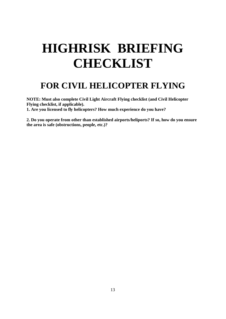#### **FOR CIVIL HELICOPTER FLYING**

**NOTE: Must also complete Civil Light Aircraft Flying checklist (and Civil Helicopter Flying checklist, if applicable). 1. Are you licensed to fly helicopters? How much experience do you have?**

**2. Do you operate from other than established airports/heliports? If so, how do you ensure the area is safe (obstructions, people, etc.)?**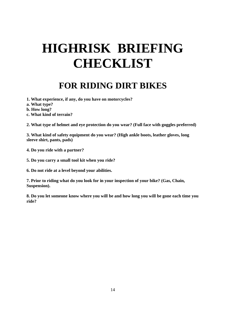#### **FOR RIDING DIRT BIKES**

- **1. What experience, if any, do you have on motorcycles?**
- **a. What type?**
- **b. How long?**
- **c. What kind of terrain?**

**2. What type of helmet and eye protection do you wear? (Full face with goggles preferred)**

**3. What kind of safety equipment do you wear? (High ankle boots, leather gloves, long sleeve shirt, pants, pads)**

**4. Do you ride with a partner?**

**5. Do you carry a small tool kit when you ride?**

**6. Do not ride at a level beyond your abilities.**

**7. Prior to riding what do you look for in your inspection of your bike? (Gas, Chain, Suspension).**

**8. Do you let someone know where you will be and how long you will be gone each time you ride?**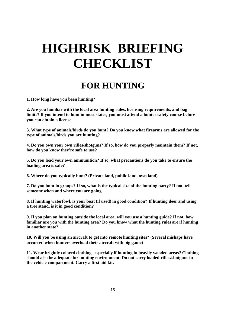#### **FOR HUNTING**

**1. How long have you been hunting?**

**2. Are you familiar with the local area hunting rules, licensing requirements, and bag limits? If you intend to hunt in most states, you must attend a hunter safety course before you can obtain a license.**

**3. What type of animals/birds do you hunt? Do you know what firearms are allowed for the type of animals/birds you are hunting?**

**4. Do you own your own rifles/shotguns? If so, how do you properly maintain them? If not, how do you know they're safe to use?**

**5. Do you load your own ammunition? If so, what precautions do you take to ensure the loading area is safe?**

**6. Where do you typically hunt? (Private land, public land, own land)**

**7. Do you hunt in groups? If so, what is the typical size of the hunting party? If not, tell someone when and where you are going.**

**8. If hunting waterfowl, is your boat (if used) in good condition? If hunting deer and using a tree stand, is it in good condition?**

**9. If you plan on hunting outside the local area, will you use a hunting guide? If not, how familiar are you with the hunting area? Do you know what the hunting rules are if hunting in another state?**

**10. Will you be using an aircraft to get into remote hunting sites? (Several mishaps have occurred when hunters overload their aircraft with big game)**

**11. Wear brightly colored clothing--especially if hunting in heavily wooded areas? Clothing should also be adequate for hunting environment. Do not carry loaded rifles/shotguns in the vehicle compartment. Carry a first aid kit.**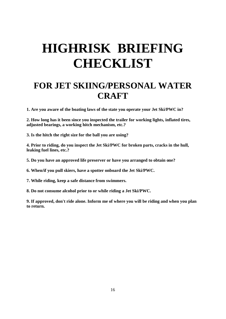#### **FOR JET SKIING/PERSONAL WATER CRAFT**

**1. Are you aware of the boating laws of the state you operate your Jet Ski/PWC in?**

**2. How long has it been since you inspected the trailer for working lights, inflated tires, adjusted bearings, a working hitch mechanism, etc.?**

**3. Is the hitch the right size for the ball you are using?**

**4. Prior to riding, do you inspect the Jet Ski/PWC for broken parts, cracks in the hull, leaking fuel lines, etc.?**

**5. Do you have an approved life preserver or have you arranged to obtain one?**

**6. When/if you pull skiers, have a spotter onboard the Jet Ski/PWC.**

**7. While riding, keep a safe distance from swimmers.**

**8. Do not consume alcohol prior to or while riding a Jet Ski/PWC.**

**9. If approved, don't ride alone. Inform me of where you will be riding and when you plan to return.**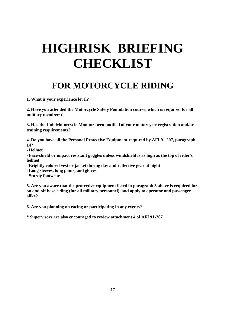### **FOR MOTORCYCLE RIDING**

**1. What is your experience level?**

**2. Have you attended the Motorcycle Safety Foundation course, which is required for all military members?**

**3. Has the Unit Motorcycle Monitor been notified of your motorcycle registration and/or training requirements?**

**4. Do you have all the Personal Protective Equipment required by AFI 91-207, paragraph 14?**

**- Helmet**

**- Face-shield or impact resistant goggles unless windshield is as high as the top of rider's helmet**

**- Brightly colored vest or jacket during day and reflective gear at night**

**- Long sleeves, long pants, and gloves**

**- Sturdy footwear**

**5. Are you aware that the protective equipment listed in paragraph 3 above is required for on and off base riding (for all military personnel), and apply to operator and passenger alike?**

**6. Are you planning on racing or participating in any events?**

**\* Supervisors are also encouraged to review attachment 4 of AFI 91-207**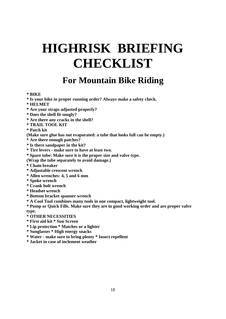#### **For Mountain Bike Riding**

#### **\* BIKE**

- **\* Is your bike in proper running order? Always make a safety check.**
- **\* HELMET**
- **\* Are your straps adjusted properly?**
- **\* Does the shell fit snugly?**
- **\* Are there any cracks in the shell?**
- **\* TRAIL TOOL KIT**
- **\* Patch kit**
- **(Make sure glue has not evaporated: a tube that looks full can be empty.)**
- **\* Are there enough patches?**
- **\* Is there sandpaper in the kit?**
- **\* Tire levers - make sure to have at least two.**
- **\* Spare tube: Make sure it is the proper size and valve type.**
- **(Wrap the tube separately to avoid damage.)**
- **\* Chain breaker**
- **\* Adjustable crescent wrench**
- **\* Allen wrenches: 4, 5 and 6 mm**
- **\* Spoke wrench**
- **\* Crank bolt wrench**
- **\* Headset wrench**
- **\* Bottom bracket spanner wrench**
- **\* A Cool Tool combines many tools in one compact, lightweight tool.**
- **\* Pump or Quick Fills. Make sure they are in good working order and are proper valve type.**
- **\* OTHER NECESSITIES**
- **\* First aid kit \* Sun Screen**
- **\* Lip protection \* Matches or a lighter**
- **\* Sunglasses \* High energy snacks**
- **\* Water - make sure to bring plenty \* Insect repellent**
- **\* Jacket in case of inclement weather**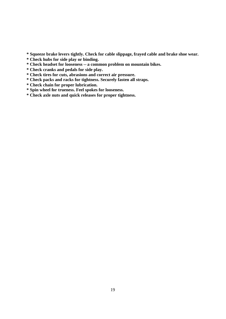**\* Squeeze brake levers tightly. Check for cable slippage, frayed cable and brake shoe wear.**

- **\* Check hubs for side play or binding.**
- **\* Check headset for looseness -- a common problem on mountain bikes.**
- **\* Check cranks and pedals for side play.**
- **\* Check tires for cuts, abrasions and correct air pressure.**
- **\* Check packs and racks for tightness. Securely fasten all straps.**
- **\* Check chain for proper lubrication.**
- **\* Spin wheel for trueness. Feel spokes for looseness.**
- **\* Check axle nuts and quick releases for proper tightness.**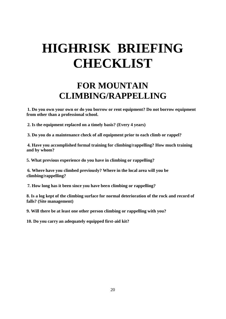#### **FOR MOUNTAIN CLIMBING/RAPPELLING**

**1. Do you own your own or do you borrow or rent equipment? Do not borrow equipment from other than a professional school.**

**2. Is the equipment replaced on a timely basis? (Every 4 years)**

**3. Do you do a maintenance check of all equipment prior to each climb or rappel?**

**4. Have you accomplished formal training for climbing/rappelling? How much training and by whom?**

**5. What previous experience do you have in climbing or rappelling?**

**6. Where have you climbed previously? Where in the local area will you be climbing/rappelling?**

**7. How long has it been since you have been climbing or rappelling?**

**8. Is a log kept of the climbing surface for normal deterioration of the rock and record of falls? (Site management)**

**9. Will there be at least one other person climbing or rappelling with you?**

**10. Do you carry an adequately equipped first-aid kit?**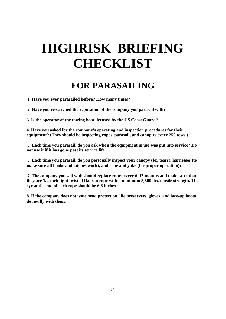#### **FOR PARASAILING**

**1. Have you ever parasailed before? How many times?**

**2. Have you researched the reputation of the company you parasail with?**

**3. Is the operator of the towing boat licensed by the US Coast Guard?**

**4. Have you asked for the company's operating and inspection procedures for their equipment? (They should be inspecting ropes, parasail, and canopies every 250 tows.)**

**5. Each time you parasail, do you ask when the equipment in use was put into service? Do not use it if it has gone past its service life.**

**6. Each time you parasail, do you personally inspect your canopy (for tears), harnesses (to make sure all hooks and latches work), and rope and yoke (for proper operation)?**

**7. The company you sail with should replace ropes every 6-12 months and make sure that they are 1/2-inch tight twisted Dacron rope with a minimum 3,500 lbs. tensile strength. The eye at the end of each rope should be 6-8 inches.**

**8. If the company does not issue head protection, life preservers, gloves, and lace-up boots do not fly with them.**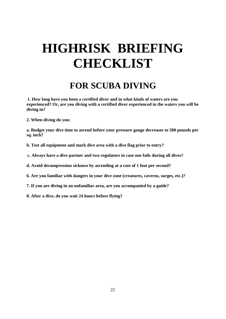### **FOR SCUBA DIVING**

**1. How long have you been a certified diver and in what kinds of waters are you experienced? Or, are you diving with a certified diver experienced in the waters you will be diving in?**

**2. When diving do you:**

**a. Budget your dive time to ascend before your pressure gauge decreases to 500 pounds per sq. inch?**

- **b. Test all equipment and mark dive area with a dive flag prior to entry?**
- **c. Always have a dive partner and two regulators in case one fails during all dives?**
- **d. Avoid decompression sickness by ascending at a rate of 1 foot per second?**
- **6. Are you familiar with dangers in your dive zone (creatures, caverns, surges, etc.)?**
- **7. If you are diving in an unfamiliar area, are you accompanied by a guide?**
- **8. After a dive, do you wait 24 hours before flying?**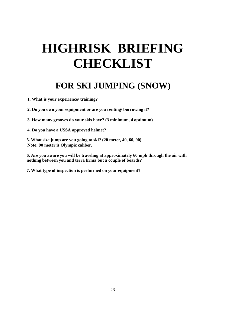#### **FOR SKI JUMPING (SNOW)**

**1. What is your experience/ training?**

**2. Do you own your equipment or are you renting/ borrowing it?**

**3. How many grooves do your skis have? (3 minimum, 4 optimum)**

**4. Do you have a USSA approved helmet?**

**5. What size jump are you going to ski? (20 meter, 40, 60, 90) Note: 90 meter is Olympic caliber.**

**6. Are you aware you will be traveling at approximately 60 mph through the air with nothing between you and terra firma but a couple of boards?**

**7. What type of inspection is performed on your equipment?**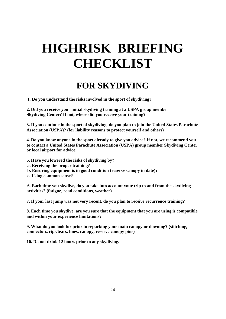### **FOR SKYDIVING**

**1. Do you understand the risks involved in the sport of skydiving?**

**2. Did you receive your initial skydiving training at a USPA group member Skydiving Center? If not, where did you receive your training?**

**3. If you continue in the sport of skydiving, do you plan to join the United States Parachute Association (USPA)? (for liability reasons to protect yourself and others)**

**4. Do you know anyone in the sport already to give you advice? If not, we recommend you to contact a United States Parachute Association (USPA) group member Skydiving Center or local airport for advice.**

- **5. Have you lowered the risks of skydiving by?**
- **a. Receiving the proper training?**
- **b. Ensuring equipment is in good condition (reserve canopy in date)?**
- **c. Using common sense?**

**6. Each time you skydive, do you take into account your trip to and from the skydiving activities? (fatigue, road conditions, weather)**

**7. If your last jump was not very recent, do you plan to receive recurrence training?**

**8. Each time you skydive, are you sure that the equipment that you are using is compatible and within your experience limitations?**

**9. What do you look for prior to repacking your main canopy or downing? (stitching, connectors, rips/tears, lines, canopy, reserve canopy pins)**

**10. Do not drink 12 hours prior to any skydiving.**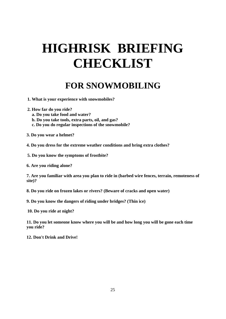#### **FOR SNOWMOBILING**

- **1. What is your experience with snowmobiles?**
- **2. How far do you ride?**
	- **a. Do you take food and water?**
	- **b. Do you take tools, extra parts, oil, and gas?**
	- **c. Do you do regular inspections of the snowmobile?**
- **3. Do you wear a helmet?**
- **4. Do you dress for the extreme weather conditions and bring extra clothes?**
- **5. Do you know the symptoms of frostbite?**
- **6. Are you riding alone?**

**7. Are you familiar with area you plan to ride in (barbed wire fences, terrain, remoteness of site)?**

**8. Do you ride on frozen lakes or rivers? (Beware of cracks and open water)**

**9. Do you know the dangers of riding under bridges? (Thin ice)**

**10. Do you ride at night?**

**11. Do you let someone know where you will be and how long you will be gone each time you ride?**

**12. Don't Drink and Drive!**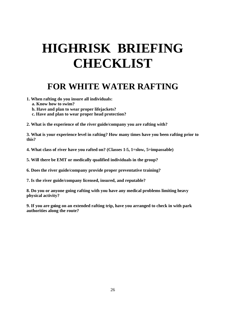#### **FOR WHITE WATER RAFTING**

- **1. When rafting do you insure all individuals:**
	- **a. Know how to swim?**
	- **b. Have and plan to wear proper lifejackets?**
	- **c. Have and plan to wear proper head protection?**
- **2. What is the experience of the river guide/company you are rafting with?**

**3. What is your experience level in rafting? How many times have you been rafting prior to this?**

**4. What class of river have you rafted on? (Classes 1-5, 1=slow, 5=impassable)**

**5. Will there be EMT or medically qualified individuals in the group?**

**6. Does the river guide/company provide proper preventative training?**

**7. Is the river guide/company licensed, insured, and reputable?**

**8. Do you or anyone going rafting with you have any medical problems limiting heavy physical activity?**

**9. If you are going on an extended rafting trip, have you arranged to check in with park authorities along the route?**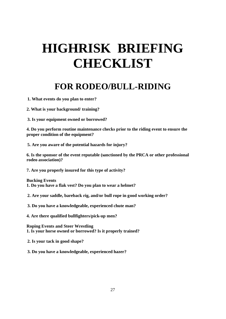#### **FOR RODEO/BULL-RIDING**

**1. What events do you plan to enter?**

**2. What is your background/ training?**

**3. Is your equipment owned or borrowed?**

**4. Do you perform routine maintenance checks prior to the riding event to ensure the proper condition of the equipment?**

**5. Are you aware of the potential hazards for injury?**

**6. Is the sponsor of the event reputable (sanctioned by the PRCA or other professional rodeo association)?**

**7. Are you properly insured for this type of activity?**

**Bucking Events 1. Do you have a flak vest? Do you plan to wear a helmet?**

**2. Are your saddle, bareback rig, and/or bull rope in good working order?**

**3. Do you have a knowledgeable, experienced chute man?**

**4. Are there qualified bullfighters/pick-up men?**

**Roping Events and Steer Wrestling 1. Is your horse owned or borrowed? Is it properly trained?**

**2. Is your tack in good shape?**

**3. Do you have a knowledgeable, experienced hazer?**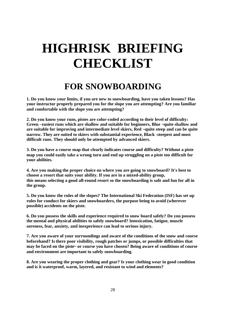#### **FOR SNOWBOARDING**

**1. Do you know your limits, if you are new to snowboarding, have you taken lessons? Has your instructor properly prepared you for the slope you are attempting? Are you familiar and comfortable with the slope you are attempting?**

**2. Do you know your runs, pistes are color-coded according to their level of difficulty: Green - easiest runs which are shallow and suitable for beginners, Blue ¬quite shallow and are suitable for improving and intermediate level skiers, Red ¬quite steep and can be quite narrow. They are suited to skiers with substantial experience, Black -steepest and most difficult runs. They should only be attempted by advanced skiers.**

**3. Do you have a course map that clearly indicates course and difficulty? Without a piste map you could easily take a wrong turn and end up struggling on a piste too difficult for your abilities.**

**4. Are you making the proper choice on where you are going to snowboard? It's best to choose a resort that suits your ability. If you are in a mixed-ability group, this means selecting a good all-round resort so the snowboarding is safe and fun for all in the group.**

**5. Do you know the rules of the slopes? The International Ski Federation (ISF) has set up rules for conduct for skiers and snowboarders, the purpose being to avoid (wherever possible) accidents on the piste.**

**6. Do you possess the skills and experience required to snow board safely? Do you possess the mental and physical abilities to safely snowboard? Intoxication, fatigue, muscle soreness, fear, anxiety, and inexperience can lead to serious injury.**

**7. Are you aware of your surroundings and aware of the conditions of the snow and course beforehand? Isthere poor visibility, rough patches or jumps, or possible difficulties that may be faced on the piste~ or course you have chosen? Being aware of conditions of course and environment are important to safely snowboarding.**

**8. Are you wearing the proper clothing and gear? Is your clothing wear in good condition and is it waterproof, warm, layered, and resistant to wind and elements?**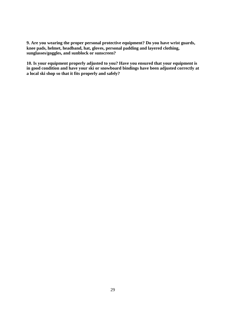**9. Are you wearing the proper personal protective equipment? Do you have wrist guards, knee pads, helmet, headband, hat, gloves, personal padding and layered clothing, sunglasses/goggles, and sunblock or sunscreen?**

**10. Is your equipment properly adjusted to you? Have you ensured that your equipment is in good condition and have your ski or snowboard bindings have been adjusted correctly at a local ski shop so that it fits properly and safely?**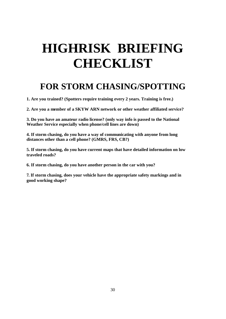#### **FOR STORM CHASING/SPOTTING**

**1. Are you trained? (Spotters require training every 2 years. Training is free.)**

**2. Are you a member of a SKYW ARN network or other weather affiliated service?**

**3. Do you have an amateur radio license? (only way info is passed to the National Weather Service especially when phone/cell lines are down)**

**4. If storm chasing, do you have a way of communicating with anyone from long distances other than a cell phone? (GMRS, FRS, CB?)**

**5. If storm chasing, do you have current maps that have detailed information on low traveled roads?**

**6. If storm chasing, do you have another person in the car with you?**

**7. If storm chasing, does your vehicle have the appropriate safety markings and in good working shape?**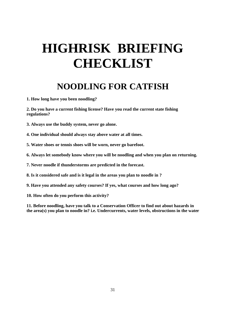#### **NOODLING FOR CATFISH**

**1. How long have you been noodling?**

**2. Do you have a current fishing license? Have you read the current state fishing regulations?**

**3. Always use the buddy system, never go alone.**

**4. One individual should always stay above water at all times.**

**5. Water shoes or tennis shoes will be worn, never go barefoot.**

**6. Always let somebody know where you will be noodling and when you plan on returning.**

**7. Never noodle if thunderstorms are predicted in the forecast.**

**8. Is it considered safe and is it legal in the areas you plan to noodle in ?**

**9. Have you attended any safety courses? If yes, what courses and how long ago?**

**10. How often do you perform this activity?**

**11. Before noodling, have you talk to a Conservation Officer to find out about hazards in the area(s) you plan to noodle in? i.e. Undercurrents, water levels, obstructions in the water**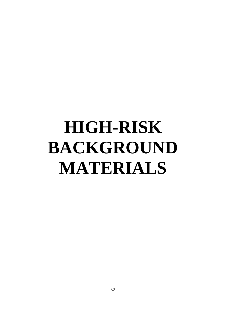# **HIGH-RISK BACKGROUND MATERIALS**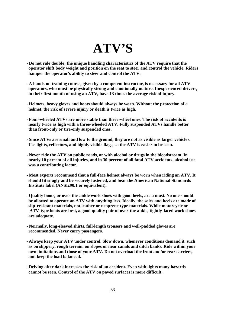### **ATV'S**

- **- Do not ride double; the unique handling characteristics of the ATV require that the operator shift body weight and position on the seat to steer and control the vehicle. Riders hamper the operator's ability to steer and control the ATV.**
- **- A hands-on training course, given by a competent instructor, is necessary for all ATV operators, who must be physically strong and emotionally mature. Inexperienced drivers, in their first month of using an ATV, have 13 times the average risk of injury.**
- **- Helmets, heavy gloves and boots should always be worn. Without the protection of a helmet, the risk of severe injury or death is twice as high.**
- **- Four-wheeled ATVs are more stable than three-wheel ones. The risk of accidents is nearly twice as high with a three-wheeled ATV. Fully suspended ATVs handle better than front-only or tire-only suspended ones.**
- **- Since ATVs are small and low to the ground, they are not as visible as larger vehicles. Use lights, reflectors, and highly visible flags, so the ATV is easier to be seen.**
- **- Never ride the ATV on public roads, or with alcohol or drugs in the bloodstream. In nearly 10 percent of all injuries, and in 30 percent of all fatal ATV accidents, alcohol use was a contributing factor.**
- **- Most experts recommend that a full-face helmet always be worn when riding an ATV, It should fit snugly and be securely fastened, and bear the American National Standards Institute label (ANSIz90.1 or equivalent).**
- **- Quality boots, or over-the-ankle work shoes with good heels, are a must. No one should be allowed to operate an ATV with anything less. Ideally, the soles and heels are made of slip-resistant materials, not leather or neoprene-type materials. While motorcycle or ATV-type boots are best, a good quality pair of over-the-ankle, tightly-laced work shoes are adequate.**
- **- Normally, long-sleeved shirts, full-length trousers and well-padded gloves are recommended. Never carry passengers.**
- **- Always keep your ATV under control. Slow down, whenever conditions demand it, such as on slippery, rough terrain, on slopes or near canals and ditch banks. Ride within your own limitations and those of your ATV. Do not overload the front and/or rear carriers, and keep the load balanced.**
- **- Driving after dark increases the risk of an accident. Even with lights many hazards cannot be seen. Control of the ATV on paved surfaces is more difficult.**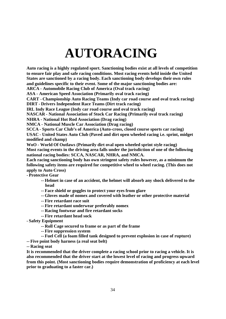## **AUTORACING**

**Auto racing is a highly regulated sport. Sanctioning bodies exist at all levels of competition to ensure fair play and safe racing conditions. Most racing events held inside the United States are sanctioned by a racing body. Each sanctioning body develops their own rules and guidelines specific to their event. Some of the major sanctioning bodies are:**

**ARCA - Automobile Racing Club of America (Oval track racing)**

**ASA - American Speed Association (Primarily oval track racing)**

**CART - Championship Auto Racing Teams (Indy car road course and oval track racing)**

**DIRT - Drivers Independent Race Teams (Dirt track racing)**

**IRL Indy Race League (Indy car road course and oval track racing)**

**NASCAR - National Association of Stock Car Racing (Primarily oval track racing)**

**NHRA - National Hot Rod Association (Drag racing)**

**NMCA - National Muscle Car Association (Drag racing)**

**SCCA - Sports Car Club's of America (Auto-cross, closed course sports car racing) USAC - United States Auto Club (Paved and dirt open wheeled racing i.e. sprint, midget modified and champ)**

**WoO - World Of Outlaws (Primarily dirt oval open wheeled sprint style racing) Most racing events in the driving area falls under the jurisdiction of one of the following national racing bodies: SCCA, NASCAR, NHRA, and NMCA.**

**Each racing sanctioning body has own stringent safety rules however, as a minimum the following safety items are required for competitive wheel to wheel racing. (This does not apply to Auto Cross)**

**- Protective Gear**

- **-- Helmet in case of an accident, the helmet will absorb any shock delivered to the head**
- **-- Face shield or goggles to protect your eyes from glare**
- **-- Gloves made of nomex and covered with leather or other protective material**
- **-- Fire retardant race suit**
- **-- Fire retardant underwear preferably nomex**
- **-- Racing footwear and fire retardant socks**
- **-- Fire retardant head sock**
- **- Safety Equipment**
	- **-- Roll Cage secured to frame or as part of the frame**
	- **-- Fire suppression system**
	- **-- Fuel Cell (a foam filled tank designed to prevent explosion in case of rupture)**
- **-- Five point body harness (a real seat belt)**

**-- Racing seat**

**It is recommended that the driver complete a racing school prior to racing a vehicle. It is also recommended that the driver start at the lowest level of racing and progress upward from this point. (Most sanctioning bodies require demonstration of proficiency at each level prior to graduating to a faster car.)**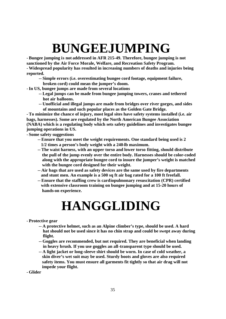## **BUNGEEJUMPING**

**- Bungee jumping is not addressed in AFR 215-49. Therefore, bungee jumping is not sanctioned by the Air Force Morale, Welfare, and Recreation Safety Program. - Widespread popularity has resulted in increasing numbers of deaths and injuries being reported.**

- **-- Simple errors (i.e. overestimating bungee cord footage, equipment failure,**
- **broken cord) could mean the jumper's doom.**
- **-In US, bungee jumps are made from several locations**
	- **-- Legal jumps can be made from bungee jumping towers, cranes and tethered hot air balloons.**
	- **-- Unofficial and illegal jumps are made from bridges over river gorges, and sides of mountains and such popular places as the Golden Gate Bridge.**

**- To minimize the chance of injury, most legal sites have safety systems installed (i.e. air bags, harnesses). Some are regulated by the North American Bungee Association (NABA) which is a regulating body which sets safety guidelines and investigates bungee jumping operations in US.**

**- Some safety suggestions**

- **-- Ensure that you meet the weight requirements. One standard being used is 2 1/2 times a person's body weight with a 240-lb maximum.**
- **-- The waist harness, with an upper torso and lower torso fitting, should distribute the pull of the jump evenly over the entire body. Harnesses should be color-coded along with the appropriate bungee cord to insure the jumper's weight is matched with the bungee cord designed for their weight.**
- **-- Air bags that are used as safety devices are the same used by fire departments and stunt men. An example is a 500 sq ft air bag rated for a 100 ft freefall.**
- **-- Ensure that the staffing crew is cardiopulmonary resuscitation (CPR) certified with extensive classroom training on bungee jumping and at 15-20 hours of hands-on experience.**

### **HANGGLIDING**

#### **- Protective gear**

- **-- A protective helmet, such as an Alpine climber's type, should be used. A hard hat should not be used since it has no chin strap and could be swept away during flight.**
- **-- Goggles are recommended, but not required. They are beneficial when landing in heavy brush. If you use goggles an all-transparent type should be used.**
- **-- A light jacket or long-sleeve shirt should be worn. In case of cold weather, a skin diver's wet suit may be used. Sturdy boots and gloves are also required safety items. You must ensure all garments fit tightly so that air drag will not impede your flight.**
- **- Glider**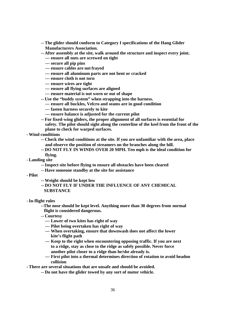- **-- The glider should conform to Category I specifications of the Hang Glider Manufacturers Association.**
- **-- After assembly at the site, walk around the structure and inspect every joint. --- ensure all nuts are screwed on tight**
	- **--- secure all pip pins**
	- **--- ensure cables are not frayed**
	- **--- ensure all aluminum parts are not bent or cracked**
	- **--- ensure cloth is not torn**
	- **--- ensure wires are tight**
	- **--- ensure all flying surfaces are aligned**
	- **--- ensure material is not worn or out of shape**
- **-- Use the "buddy system" when strapping into the harness.**
	- **--- ensure all buckles, Velcro and seams are in good condition**
	- **--- fasten harness securely to kite**
	- **--- ensure balance is adjusted for the current pilot**
- **-- For fixed-wing gliders, the proper alignment of all surfaces is essential for safety. The pilot should sight along the centerline of the keel from the front of the plane to check for warped surfaces.**
- **- Wind conditions**
	- **-- Check the wind conditions at the site. If you are unfamiliar with the area, place and observe the position of streamers on the branches along the hill.**
	- **-- DO NOT FLY IN WINDS OVER 20 MPH. Ten mph is the ideal condition for flying.**
- **- Landing site**
	- **--Inspect site before flying to ensure all obstacles have been cleared**
	- **-- Have someone standby at the site for assistance**
- **- Pilot**
- **-- Weight should be kept low**
- **-- DO NOT FLY IF UNDER THE INFLUENCE OF ANY CHEMICAL SUBSTANCE**
- **-In-flight rules**
	- **--The nose should be kept level. Anything more than 30 degrees from normal flight is considered dangerous.**
	- **-- Courtesy**
		- **--- Lower of two kites has right of way**
		- **--- Pilot being overtaken has right of way**
		- **--- When overtaking, ensure that downwash does not affect the lower kite's flight path**
		- **--- Keep to the right when encountering opposing traffic. If you are next to a ridge, stay as close to the ridge as safely possible. Never force another pilot closer to a ridge than he/she already is.**
		- **--- First pilot into a thermal determines direction of rotation to avoid headon collision**

**- There are several situations that are unsafe and should be avoided.**

**-- Do not have the glider towed by any sort of motor vehicle.**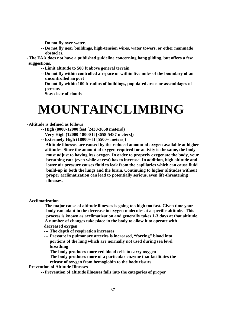- **-- Do not fly over water.**
- **-- Do not fly near buildings, high-tension wires, water towers, or other manmade obstacles.**
- **- The FAA does not have a published guideline concerning hang gliding, but offers a few suggestions.**
	- **-- Limit altitude to 500 ft above general terrain**
	- **-- Do not fly within controlled airspace or within five miles of the boundary of an uncontrolled airport**
	- **-- Do not fly within 100 ft radius of buildings, populated areas or assemblages of persons**
	- **-- Stay clear of clouds**

### **MOUNTAINCLIMBING**

- **- Altitude is defined as follows**
	- **-- High (8000-12000 feet [2438-3658 meters])**
	- **-- Very High (12000-18000 ft [3658-5487 meters])**
	- **-- Extremely High (18000+ ft [5500+ meters])**
		- **- Altitude illnesses are caused by the reduced amount of oxygen available at higher altitudes. Since the amount of oxygen required for activity is the same, the body must adjust to having less oxygen. In order to properly oxygenate the body, your breathing rate (even while at rest) has to increase. In addition, high altitude and lower air pressure causes fluid to leak from the capillaries which can cause fluid build-up in both the lungs and the brain. Continuing to higher altitudes without proper acclimatization can lead to potentially serious, even life-threatening illnesses.**
- **- Acclimatization**
	- **-- The major cause of altitude illnesses is going too high too fast. Given time your body can adapt to the decrease in oxygen molecules at a specific altitude. This process is known as acclimatization and generally takes 1-3 days at that altitude.**
	- **-- A number of changes take place in the body to allow it to operate with**
		- **decreased oxygen**
		- **--- The depth of respiration increases**
		- **--- Pressure in pulmonary arteries is increased, "forcing" blood into portions of the lung which are normally not used during sea level breathing**
		- **--- The body produces more red blood cells to carry oxygen**
		- **--- The body produces more of a particular enzyme that facilitates the release of oxygen from hemoglobin to the body tissues**
- **- Prevention of Altitude Illnesses**
	- **-- Prevention of altitude illnesses falls into the categories of proper**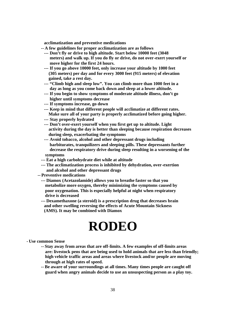**acclimatization and preventive medications**

- **-- A few guidelines for proper acclimatization are as follows**
	- **--- Don't fly or drive to high altitude. Start below 10000 feet (3048 meters) and walk up. If you do fly or drive, do not over-exert yourself or move higher for the first 24 hours.**
	- **--- If you go above 10000 feet, only increase your altitude by 1000 feet (305 meters) per day and for every 3000 feet (915 meters) of elevation gained, take a rest day.**
	- **--- "Climb high and sleep low". You can climb more than 1000 feet in a day as long as you come back down and sleep at a lower altitude.**
	- **--- If you begin to show symptoms of moderate altitude illness, don't go higher until symptoms decrease**
	- **--- If symptoms increase, go down**
	- **--- Keep in mind that different people will acclimatize at different rates. Make sure all of your party is properly acclimatized before going higher.**
	- **--- Stay properly hydrated**
	- **--- Don't over-exert yourself when you first get up to altitude. Light activity during the day is better than sleeping because respiration decreases during sleep, exacerbating the symptoms**
	- **--- Avoid tobacco, alcohol and other depressant drugs including barbiturates, tranquilizers and sleeping pills. These depressants further decrease the respiratory drive during sleep resulting in a worsening of the symptoms**
- **--- Eat a high carbohydrate diet while at altitude**
- **--- The acclimatization process is inhibited by dehydration, over-exertion and alcohol and other depressant drugs**
- **-- Preventive medications**
	- **--- Diamox (Acetazolamide) allows you to breathe faster so that you metabolize more oxygen, thereby minimizing the symptoms caused by poor oxygenation. This is especially helpful at night when respiratory drive is decreased**
	- **--- Dexamethaxone (a steroid) is a prescription drug that decreases brain and other swelling reversing the effects of Acute Mountain Sickness (AMS). It may be combined with Diamox**

### **RODEO**

- **- Use common Sense**
	- **-- Stay away from areas that are off-limits. A few examples of off-limits areas are: livestock pens that are being used to hold animals that are less than friendly; high vehicle traffic areas and areas where livestock and/or people are moving through at high rates of speed.**
	- **-- Be aware of your surroundings at all times. Many times people are caught off guard when angry animals decide to use an unsuspecting person as a play toy.**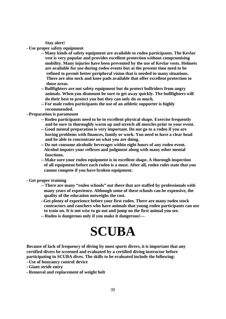**Stay alert!**

- **- Use proper safety equipment**
	- **-- Many kinds of safety equipment are available to rodeo participants. The Kevlar vest is very popular and provides excellent protection without compromising mobility. Many injuries have been prevented by the use of Kevlar vests. Helmets are available for use during rodeo events but at the present time need to be refined to permit better peripheral vision that is needed in many situations. There are also neck and knee pads available that offer excellent protection to those areas.**
	- **-- Bullfighters are not safety equipment but do protect bullriders from angry animals. When you dismount be sure to get away quickly. The bullfighters will do their best to protect you but they can only do so much.**
	- **-- For male rodeo participants the use of an athletic supporter is highly recommended.**
- **- Preparation is paramount**
	- **-- Rodeo participants need to be in excellent physical shape. Exercise frequently and be sure to thoroughly warm up and stretch all muscles prior to your event.**
	- **-- Good mental preparation is very important. Do not go to a rodeo if you are having problems with finances, family or work. You need to have a clear head and be able to concentrate on what you are doing.**
	- **-- Do not consume alcoholic beverages within eight hours of any rodeo event. Alcohol impairs your reflexes and judgment along with many other mental functions.**
	- **-- Make sure your rodeo equipment is in excellent shape. A thorough inspection of all equipment before each rodeo is a must. After all, rodeo rules state that you cannot compete if you have broken equipment.**
- **- Get proper training**
	- **-- There are many "rodeo schools" out there that are staffed by professionals with many years of experience. Although some of these schools can be expensive, the quality of the education outweighs the cost.**
	- **--Get plenty of experience before your first rodeo. There are many rodeo stock contractors and ranchers who have animals that young rodeo participants can use to train on. It is not wise to go out and jump on the first animal you see.**
	- **-- Rodeo is dangerous only if you make it dangerous!—**

### **SCUBA**

**Because of lack of frequency of diving by most sports divers, it is important that any certified divers be screened and evaluated by a certified diving instructor before participating in SCUBA dives. The skills to be evaluated include the following:**

- **- Use of buoyancy control device**
- **- Giant stride entry**
- **- Removal and replacement of weight belt**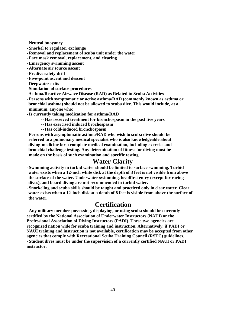- **- Neutral buoyancy**
- **- Snorkel to regulator exchange**
- **- Removal and replacement of scuba unit under the water**
- **- Face mask removal, replacement, and clearing**
- **- Emergency swimming ascent**
- **- Alternate air source ascent**
- **- Predive safety drill**
- **- Five-point ascent and descent**
- **- Deepwater exits**
- **- Simulation of surface procedures**
- **Asthma/Reactive Airwave Disease (RAD) as Related to Scuba Activities**
- **- Persons with symptomatic or active asthma/RAD (commonly known as asthma or bronchial asthma) should not be allowed to scuba dive. This would include, at a minimum, anyone who:**
- **-Is currently taking medication for asthma/RAD**
	- **-- Has received treatment for bronchospasm in the past five years**
	- **-- Has exercised induced brochospasm**
	- **-- Has cold-induced bronchospasm**
- **- Persons with asymptomatic asthma/RAD who wish to scuba dive should be referred to a pulmonary medical specialist who is also knowledgeable about diving medicine for a complete medical examination, including exercise and bronchial challenge testing. Any determination of fitness for diving must be made on the basis of such examination and specific testing.**

#### **Water Clarity**

- **- Swimming activity in turbid water should be limited to surface swimming. Turbid water exists when a 12-inch white disk at the depth of 3 feet is not visible from above the surface of the water. Underwater swimming, headfirst entry (except for racing dives), and board diving are not recommended in turbid water.**
- **- Snorkeling and scuba skills should be taught and practiced only in clear water. Clear water exists when a 12-inch disk at a depth of 8 feet is visible from above the surface of the water.**

#### **Certification**

**- Any military member possessing, displaying, or using scuba should be currently certified by the National Association of Underwater Instructors (NAUI) or the Professional Association of Diving Instructors (PADI). These two agencies are recognized nation wide for scuba training and instruction. Alternatively, if PADI or NAUI training and instruction is not available, certification may be accepted from other agencies that comply with Recreational Scuba Training Council (RSTC) guidelines. - Student dives must be under the supervision of a currently certified NAUI or PADI instructor.**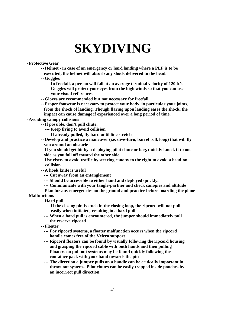### **SKYDIVING**

#### **- Protective Gear**

- **-- Helmet - in case of an emergency or hard landing where a PLF is to be**
- **executed, the helmet will absorb any shock delivered to the head.**
- **-- Goggles**
	- **--- In freefall, a person will fall at an average terminal velocity of 120 ft/s.**
	- **--- Goggles will protect your eyes from the high winds so that you can use your visual references.**
- **-- Gloves are recommended but not necessary for freefall.**
- **-- Proper footwear is necessary to protect your body, in particular your joints, from the shock of landing. Though flaring upon landing eases the shock, the impact can cause damage if experienced over a long period of time.**

#### **- Avoiding canopy collisions**

- **--If possible, don't pull chute.**
	- **--- Keep flying to avoid collision**
	- **--- If already pulled, fly hard until line stretch**
- **-- Develop and practice a maneuver (i.e. dive-turn, barrel roll, loop) that will fly you around an obstacle**
- **--If you should get hit by a deploying pilot chute or bag, quickly knock it to one side as you fall off toward the other side**
- **-- Use risers to avoid traffic by steering canopy to the right to avoid a head-on collision**
- **-- A hook knife is useful**
	- **--- Cut away from an entanglement**
	- **--- Should be accessible to either hand and deployed quickly.**
	- **--- Communicate with your tangle-partner and check canopies and altitude**
- **-- Plan for any emergencies on the ground and practice before boarding the plane**
- **- Malfunctions**
	- **-- Hard pull**
		- **--- If the closing pin is stuck in the closing loop, the ripcord will not pull easily when initiated, resulting in a hard pull**
		- **--- When a hard pull is encountered, the jumper should immediately pull the reserve ripcord**
	- **-- Floater**
		- **--- For ripcord systems, a floater malfunction occurs when the ripcord handle comes free of the Velcro support**
		- **--- Ripcord floaters can be found by visually following the ripcord housing and grasping the ripcord cable with both hands and then pulling**
		- **--- Floaters on pull-out systems may be found quickly following the container pack with your hand towards the pin**
		- **--- The direction a jumper pulls on a handle can be critically important in throw-out systems. Pilot chutes can be easily trapped inside pouches by an incorrect pull direction.**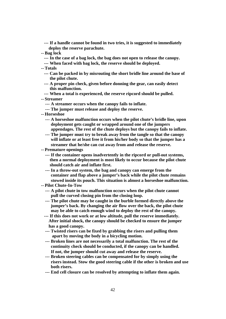**--- If a handle cannot be found in two tries, it is suggested to immediately deploy the reserve parachute.**

**-- Bag lock**

- **--- In the case of a bag lock, the bag does not open to release the canopy.**
- **--- When faced with bag lock, the reserve should be deployed.**
- **-- Totals**
	- **--- Can be packed in by misrouting the short bridle line around the base of the pilot chute.**
	- **--- A proper pin check, given before donning the gear, can easily detect this malfunction.**
	- **--- When a total is experienced, the reserve ripcord should be pulled.**

**-- Streamer**

- **--- A streamer occurs when the canopy fails to inflate.**
- **--- The jumper must release and deploy the reserve.**
- **-- Horseshoe**
	- **--- A horseshoe malfunction occurs when the pilot chute's bridle line, upon deployment gets caught or wrapped around one of the jumpers appendages. The rest of the chute deploys but the canopy fails to inflate.**
	- **--- The jumper must try to break away from the tangle so that the canopy will inflate or at least free it from his/her body so that the jumper has a streamer that he/she can cut away from and release the reserve.**
- **-- Premature openings**
	- **--- If the container opens inadvertently in the ripcord or pull-out systems, then a normal deployment is most likely to occur because the pilot chute should catch air and inflate first.**
	- **--- In a throw-out system, the bag and canopy can emerge from the container and flap above a jumper's back while the pilot chute remains stowed inside its pouch. This situation is almost a horseshoe malfunction.**
- **-- Pilot Chute-In-Tow**
	- **--- A pilot chute in tow malfunction occurs when the pilot chute cannot pull the curved closing pin from the closing loop.**
	- **--- The pilot chute may be caught in the burble formed directly above the jumper's back. By changing the air flow over the back, the pilot chute may be able to catch enough wind to deploy the rest of the canopy.**
	- **--- If this does not work or at low altitude, pull the reserve immediately. After initial shock, the canopy should be checked to ensure the jumper has a good canopy.**
	- **--- Twisted risers can be fixed by grabbing the risers and pulling them apart by moving the body in a bicycling motion.**
	- **--- Broken lines are not necessarily a total malfunction. The rest of the continuity check should be conducted, if the canopy can be handled. If not, the jumper should cut away and release the reserve.**
	- **--- Broken steering cables can be compensated for by simply using the risers instead. Stow the good steering cable if the other is broken and use both risers.**
	- **--- End cell closure can be resolved by attempting to inflate them again.**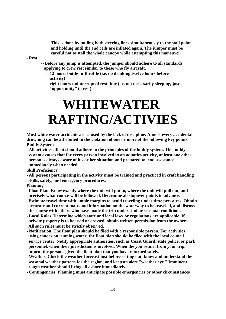**This is done by pulling both steering lines simultaneously to the stall point and holding until the end cells are inflated again. The jumper must be careful not to stall the whole canopy while attempting this maneuver.**

**- Rest**

- **-- Before any jump is attempted, the jumper should adhere to all standards applying to crew rest similar to those who fly aircraft.**
	- **--- 12 hours bottle-to-throttle (i.e. no drinking twelve hours before activity)**
	- **--- eight hours uninterrupted rest time (i.e. not necessarily sleeping, just "opportunity" to rest)**

## **WHITEWATER RAFTING/ACTIVIES**

**Most white water accidents are caused by the lack of discipline. Almost every accidental drowning can be attributed to the violation of one or more of the following key points. Buddy System**

**- All activities afloat should adhere to the principles of the buddy system. The buddy system assures that for every person involved in an aquatics activity, at least one other person is always aware of his or her situation and prepared to lend assistance immediately when needed.**

**Skill Proficiency**

**- All persons participating in the activity must be trained and practiced in craft handling skills, safety, and emergency procedures.**

**Planning**

- **- Float Plan. Know exactly where the unit will put in, where the unit will pull out, and precisely what course will be followed. Determine all stopover points in advance. Estimate travel time with ample margins to avoid traveling under time pressures. Obtain accurate and current maps and information on the waterway to be traveled, and discuss the course with others who have made the trip under similar seasonal conditions.**
- **- Local Rules. Determine which state and local laws or regulations are applicable. If private property is to be used or crossed, obtain written permission from the owners. All such rules must be strictly observed.**
- **- Notification. The float plan should be filed with a responsible person. For activities using canoes on running water, the float plan should be filed with the local council service center. Notify appropriate authorities, such as Coast Guard, state police, or park personnel, when their jurisdiction is involved. When the you return from your trip, inform the persons given the float plan that you have returned safely.**
- **- Weather. Check the weather forecast just before setting out, know and understand the seasonal weather pattern for the region, and keep an alert "weather eye." Imminent rough weather should bring all ashore immediately.**
- **- Contingencies. Planning must anticipate possible emergencies or other circumstances**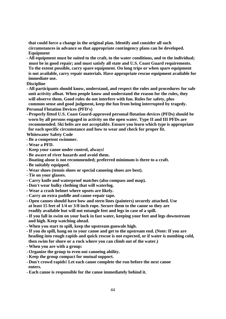**that could force a change in the original plan. Identify and consider all such circumstances in advance so that appropriate contingency plans can be developed. Equipment**

**- All equipment must be suited to the craft, to the water conditions, and to the individual; must be in good repair; and must satisfy all state and U.S. Coast Guard requirements. To the extent possible, carry spare equipment. On long trips or when spare equipment is not available, carry repair materials. Have appropriate rescue equipment available for immediate use.**

**Discipline**

**- All participants should know, understand, and respect the rules and procedures for safe unit activity afloat. When people know and understand the reason for the rules, they will observe them. Good rules do not interfere with fun. Rules for safety, plus common sense and good judgment, keep the fun from being interrupted by tragedy.**

**Personal Flotation Devices (PFD's)**

**- Properly fitted U.S. Coast Guard-approved personal flotation devices (PFDs) should be worn by all persons engaged in activity on the open water. Type II and III PFDs are recommended. Ski belts are not acceptable. Ensure you learn which type is appropriate for each specific circumstance and how to wear and check for proper fit.**

**Whitewater Safety Code**

- **- Be a competent swimmer.**
- **- Wear a PFD.**
- **- Keep your canoe under control, always!**
- **- Be aware of river hazards and avoid them.**
- **- Boating alone is not recommended; preferred minimum is three to a craft.**
- **- Be suitably equipped.**
- **- Wear shoes (tennis shoes or special canoeing shoes are best).**
- **- Tie on your glasses.**
- **- Carry knife and waterproof matches (also compass and map).**
- **- Don't wear bulky clothing that will waterlog.**
- **- Wear a crash helmet where upsets are likely.**
- **- Carry an extra paddle and canoe-repair tape.**
- **- Open canoes should have bow and stern lines (painters) securely attached. Use at least 15 feet of 1/4 or 3/8 inch rope. Secure them to the canoe so they are readily available but will not entangle feet and legs in case of a spill.**
- **-If you fall in swim on your back in fast water, keeping your feet and legs downstream and high. Keep watching ahead.**
- **- When you start to spill, keep the upstream gunwale high.**
- **-If you do spill, hang on to your canoe and get to the upstream end. (Note: If you are heading into rough rapids and quick rescue is not expected, or if water is numbing cold, then swim for shore or a rock where you can climb out of the water.)**
- **- When you are with a group:**
- **- Organize the group to even out canoeing ability.**
- **- Keep the group compact for mutual support.**
- **- Don't crowd rapids! Let each canoe complete the run before the next canoe enters.**
- **- Each canoe is responsible for the canoe immediately behind it.**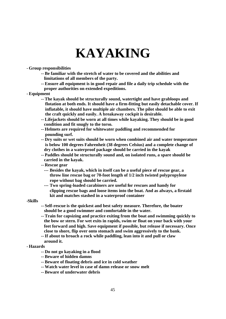### **KAYAKING**

#### **- Group responsibilities**

- **-- Be familiar with the stretch of water to be covered and the abilities and limitations of all members of the party.**
- **-- Ensure all equipment is in good repair and file a daily trip schedule with the proper authorities on extended expeditions.**
- **- Equipment**
	- **-- The kayak should be structurally sound, watertight and have grabloops and flotation at both ends. It should have a firm-fitting but easily detachable cover. If inflatable, it should have multiple air chambers. The pilot should be able to exit the craft quickly and easily. A breakaway cockpit is desirable.**
	- **-- Lifejackets should be worn at all times while kayaking. They should be in good condition and fit snugly to the torso.**
	- **-- Helmets are required for whitewater paddling and recommended for pounding surf.**
	- **-- Dry suits or wet suits should be worn when combined air and water temperature is below 100 degrees Fahrenheit (38 degrees Celsius) and a complete change of dry clothes in a waterproof package should be carried in the kayak**
	- **-- Paddles should be structurally sound and, on isolated runs, a spare should be carried in the kayak.**
	- **-- Rescue gear**
		- **--- Besides the kayak, which in itself can be a useful piece of rescue gear, a throw line rescue bag or 70-foot length of 1/2 inch twisted polypropylene rope without bag should be carried.**
		- **--- Two spring-loaded carabiners are useful for rescues and handy for clipping rescue bags and loose items into the boat. And as always, a firstaid kit and matches stashed in a waterproof container**

#### **-Skills**

- **-- Self-rescue is the quickest and best safety measure. Therefore, the boater should be a good swimmer and comfortable in the water.**
- **-- Train for capsizing and practice exiting from the boat and swimming quickly to the bow or stern. For wet exits in rapids, swim or float on your back with your feet forward and high. Save equipment if possible, but release if necessary. Once close to shore, flip over onto stomach and swim aggressively to the bank.**
- **--If about to broach a rock while paddling, lean into it and pull or claw around it.**

#### **- Hazards**

- **-- Do not go kayaking in a flood**
- **-- Beware of hidden damns**
- **-- Beware of floating debris and ice in cold weather**
- **-- Watch water level in case of damn release or snow melt**
- **-- Beware of underwater debris**